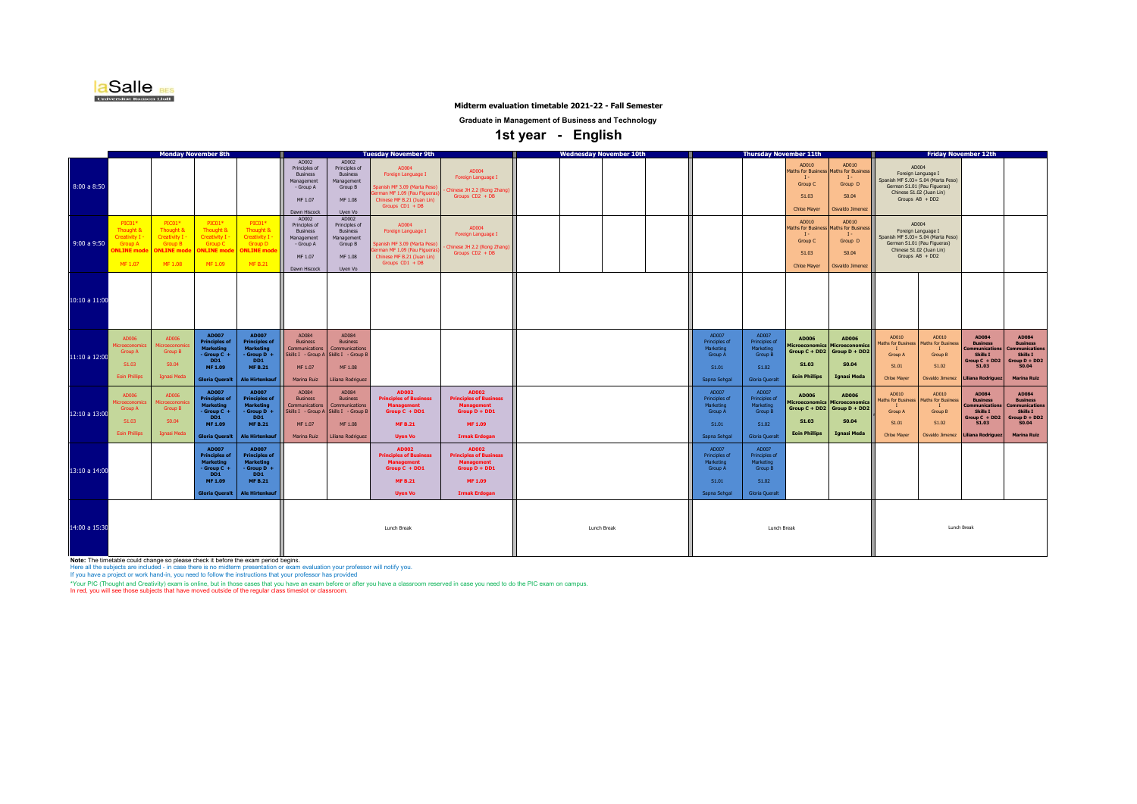

#### **Midterm evaluation timetable 2021-22 - Fall Semester**

**Graduate in Management of Business and Technology**

 **1st year - English** 

|               | <b>Monday November 8th</b>                                                                     |                                                                                          |                                                                                                                  |                                                                                                                                    | <b>Tuesday November 9th</b>                                                                     |                                                                                                                     |                                                                                                                                            |                                                                                                                 | <b>Thursday November 11th</b><br><b>Wednesday November 10th</b> |             |  |                                                                                | <b>Friday November 12th</b>                                                              |                                                                                       |                                                                                                          |                                                                              |                                                                                                                                                   |                                                                                                               |                                                                                                               |
|---------------|------------------------------------------------------------------------------------------------|------------------------------------------------------------------------------------------|------------------------------------------------------------------------------------------------------------------|------------------------------------------------------------------------------------------------------------------------------------|-------------------------------------------------------------------------------------------------|---------------------------------------------------------------------------------------------------------------------|--------------------------------------------------------------------------------------------------------------------------------------------|-----------------------------------------------------------------------------------------------------------------|-----------------------------------------------------------------|-------------|--|--------------------------------------------------------------------------------|------------------------------------------------------------------------------------------|---------------------------------------------------------------------------------------|----------------------------------------------------------------------------------------------------------|------------------------------------------------------------------------------|---------------------------------------------------------------------------------------------------------------------------------------------------|---------------------------------------------------------------------------------------------------------------|---------------------------------------------------------------------------------------------------------------|
| 8:00 a 8:50   |                                                                                                |                                                                                          |                                                                                                                  |                                                                                                                                    | AD002<br>Principles of<br><b>Business</b><br>Management<br>- Group A<br>MF 1.07<br>Dawn Hiscock | AD002<br>Principles of<br><b>Business</b><br>Management<br>Group B<br>MF 1.08<br>Uyen Vo                            | AD004<br>Foreign Language I<br>panish MF 3.09 (Marta Peso)<br>rman MF 1.09 (Pau Figuera<br>Chinese MF B.21 (Juan Lin)<br>Groups $CD1 + DB$ | AD004<br>Foreign Language I<br>Chinese JH 2.2 (Rong Zhang)<br>Groups $CD2 + DB$                                 |                                                                 |             |  |                                                                                |                                                                                          | AD010<br><b>Maths for Business</b><br>$\mathbf{I}$<br>Group C<br>S1.03<br>Chloe Maver | AD010<br><b>Maths for Business</b><br>$I -$<br>Group D<br>S0.04<br>Osvaldo Jimenez                       |                                                                              | AD004<br>Foreign Language I<br>Spanish MF S.03+ S.04 (Marta Peso)<br>German S1.01 (Pau Figueras)<br>Chinese S1.02 (Juan Lin)<br>Groups AB + DD2   |                                                                                                               |                                                                                                               |
| 9:00a9:50     | $PICO1*$<br>Thought &<br><b>Creativity I</b><br><b>Group A</b><br><b>NLINE</b> mod<br>MF 1.07  | $PIC01*$<br>Thought &<br>Creativity I -<br><b>Group B</b><br><b>NLINE</b> mod<br>MF 1.08 | $PICO1*$<br>Thought 8<br><b>Creativity I</b><br><b>Group C</b><br><b>NLINE</b> mo<br>MF 1.09                     | $PIC01*$<br>Thought &<br>Creativity I -<br>Group D<br><b>DNLINE</b> mode<br><b>MF B.21</b>                                         | AD002<br>Principles of<br><b>Business</b><br>Management<br>- Group A<br>MF 1.07<br>Dawn Hiscock | AD002<br>Principles of<br><b>Business</b><br>Management<br>Group B<br>MF 1.08<br>Uven Vo                            | AD004<br>Foreign Language I<br>panish MF 3.09 (Marta Peso)<br>rman MF 1.09 (Pau Figuera<br>Chinese MF B.21 (Juan Lin)<br>Groups $CD1 + DB$ | AD004<br>Foreign Language I<br>Chinese JH 2.2 (Rong Zhang)<br>Groups $CD2 + DB$                                 |                                                                 |             |  |                                                                                |                                                                                          | AD010<br><b>Maths for Business</b><br>$T -$<br>Group C<br>S1.03<br><b>Chloe Mayer</b> | AD010<br><b>Maths for Business</b><br>Group D<br>S0.04<br>Osvaldo Jimenez                                |                                                                              | AD004<br>Foreign Language I<br>Spanish MF S.03+ S.04 (Marta Peso)<br>German S1.01 (Pau Figueras)<br>Chinese S1.02 (Juan Lin)<br>Groups $AB + DD2$ |                                                                                                               |                                                                                                               |
| 10:10 a 11:00 |                                                                                                |                                                                                          |                                                                                                                  |                                                                                                                                    |                                                                                                 |                                                                                                                     |                                                                                                                                            |                                                                                                                 |                                                                 |             |  |                                                                                |                                                                                          |                                                                                       |                                                                                                          |                                                                              |                                                                                                                                                   |                                                                                                               |                                                                                                               |
| 11:10 a 12:00 | AD006<br><b>Nicroeconomic</b><br>Group A<br>S1.03<br><b>Eoin Phillips</b>                      | AD006<br><b>Microeconomic</b><br>Group B<br>S0.04<br><b>Ignasi Meda</b>                  | <b>AD007</b><br><b>Principles of</b><br><b>Marketing</b><br>- Group C +<br>DD1<br>MF 1.09<br>Gloria Oueralt      | <b>AD007</b><br><b>Principles of</b><br><b>Marketing</b><br>$-$ Group D $+$<br>DD <sub>1</sub><br><b>MF B.21</b><br>Ale Hirtenkauf | AD084<br><b>Business</b><br>Communications<br>MF 1.07<br>Marina Ruiz                            | AD084<br><b>Business</b><br>Communications<br>Skills I - Group A Skills I - Group E<br>MF 1.08<br>Liliana Rodriguez |                                                                                                                                            |                                                                                                                 |                                                                 |             |  | AD007<br><b>Principles of</b><br>Marketing<br>Group A<br>S1.01<br>Sapna Sehgal | AD007<br><b>Principles of</b><br>Marketing<br>Group B<br>S1.02<br><b>Gloria Oueralt</b>  | AD006<br>S1.03<br><b>Eoin Phillips</b>                                                | AD006<br>Microeconomics Microeconomics<br>Group $C + DD2$ Group $D + DD2$<br>S0.04<br><b>Ignasi Meda</b> | AD010<br><b>Maths for Business</b><br>Group A<br>S1.01<br><b>Chloe Mayer</b> | AD010<br><b>Maths for Business</b><br>$\mathbf{I}$<br>Group B<br>S1.02<br>Osvaldo Jimenez                                                         | AD084<br><b>Business</b><br><b>Communications</b><br>Skills I<br>Group C + DD2<br>S1.03<br>Liliana Rodriguez  | AD084<br><b>Business</b><br><b>Communications</b><br>Skills I<br>Group D + DD2<br>S0.04<br><b>Marina Ruiz</b> |
| 12:10 a 13:00 | AD006<br><i><u><b>Aicroeconomic</b></u></i><br><b>Group A</b><br>S1.03<br><b>Eoin Phillips</b> | AD006<br><b>licroeconom</b><br>Group B<br>S0.04<br>Ignasi Meda                           | <b>AD007</b><br><b>Principles of</b><br><b>Marketing</b><br>Group C +<br>DD1<br>MF 1.09<br><b>Gloria Queralt</b> | <b>AD007</b><br><b>Principles of</b><br><b>Marketing</b><br>- Group $D +$<br>DD <sub>1</sub><br><b>MFB.21</b><br>Ale Hirtenkauf    | AD084<br><b>Business</b><br>Communications<br>MF 1.07<br>Marina Ruiz                            | AD084<br><b>Business</b><br>Communications<br>Skills I - Group A Skills I - Group B<br>MF 1.08<br>Liliana Rodriguez | <b>AD002</b><br><b>Principles of Business</b><br><b>Management</b><br>Group $C + DD1$<br><b>MF B.21</b><br><b>Uven Vo</b>                  | AD002<br><b>Principles of Business</b><br><b>Management</b><br>Group D + DD1<br>MF 1.09<br><b>Irmak Erdogan</b> |                                                                 |             |  | AD007<br><b>Principles of</b><br>Marketing<br>Group A<br>S1.01<br>Sapna Sehgal | AD007<br><b>Principles of</b><br>Marketing<br>Group B<br>\$1.02<br><b>Gloria Oueralt</b> | AD006<br><b>Microeconomics</b><br>S1.03<br><b>Eoin Phillips</b>                       | AD006<br><b>Microeconomics</b><br>Group $C + DD2$ Group $D + DD2$<br>S0.04<br><b>Ignasi Meda</b>         | AD010<br>Maths for Business<br><b>Group A</b><br>S1.01<br>Chloe Mayer        | AD010<br><b>Maths for Business</b><br>Group B<br>S1.02<br>Osvaldo Jimenez                                                                         | AD084<br><b>Business</b><br><b>Communications</b><br>Skills I<br>Group C + DD2<br>\$1.03<br>Liliana Rodriguez | AD084<br><b>Business</b><br>Communication<br>Skills I<br>Group D + DD2<br>S0.04<br><b>Marina Ruiz</b>         |
| 13:10 a 14:00 |                                                                                                |                                                                                          | <b>AD007</b><br><b>Principles of</b><br><b>Marketing</b><br>Group C +<br>DD1<br>MF 1.09<br>Gloria Queralt        | <b>AD007</b><br><b>Principles of</b><br><b>Marketing</b><br>$-$ Group D $+$<br>DD1<br><b>MF B.21</b><br><b>Ale Hirtenkauf</b>      |                                                                                                 |                                                                                                                     | AD002<br><b>Principles of Business</b><br><b>Management</b><br>Group C + DD1<br><b>MFB.21</b><br><b>Uyen Vo</b>                            | AD002<br><b>Principles of Business</b><br><b>Managemen</b><br>Group D + DD1<br>MF 1.09<br><b>Irmak Erdogan</b>  |                                                                 |             |  | AD007<br>Principles of<br>Marketing<br><b>Group A</b><br>S1.01<br>Sapna Sehgal | AD007<br>Principles of<br>Marketing<br><b>Group B</b><br>S1.02<br><b>Gloria Queralt</b>  |                                                                                       |                                                                                                          |                                                                              |                                                                                                                                                   |                                                                                                               |                                                                                                               |
| 14:00 a 15:30 |                                                                                                |                                                                                          |                                                                                                                  |                                                                                                                                    |                                                                                                 |                                                                                                                     | Lunch Break                                                                                                                                |                                                                                                                 |                                                                 | Lunch Break |  |                                                                                | Lunch Break                                                                              |                                                                                       |                                                                                                          |                                                                              | Lunch Break                                                                                                                                       |                                                                                                               |                                                                                                               |

**Note: T**he timetable could change so please check it before the exam period begins.<br>Here all the subjects are included - in case there is no midterm presentation or exam evaluation your professor will notify you.<br>If you h

\*Your PIC (Thought and Creativity) exam is online, but in those cases that you have an exem before or after you have a classroom reserved in case you need to do the PIC exam on campus.<br>In red, you will see those subjects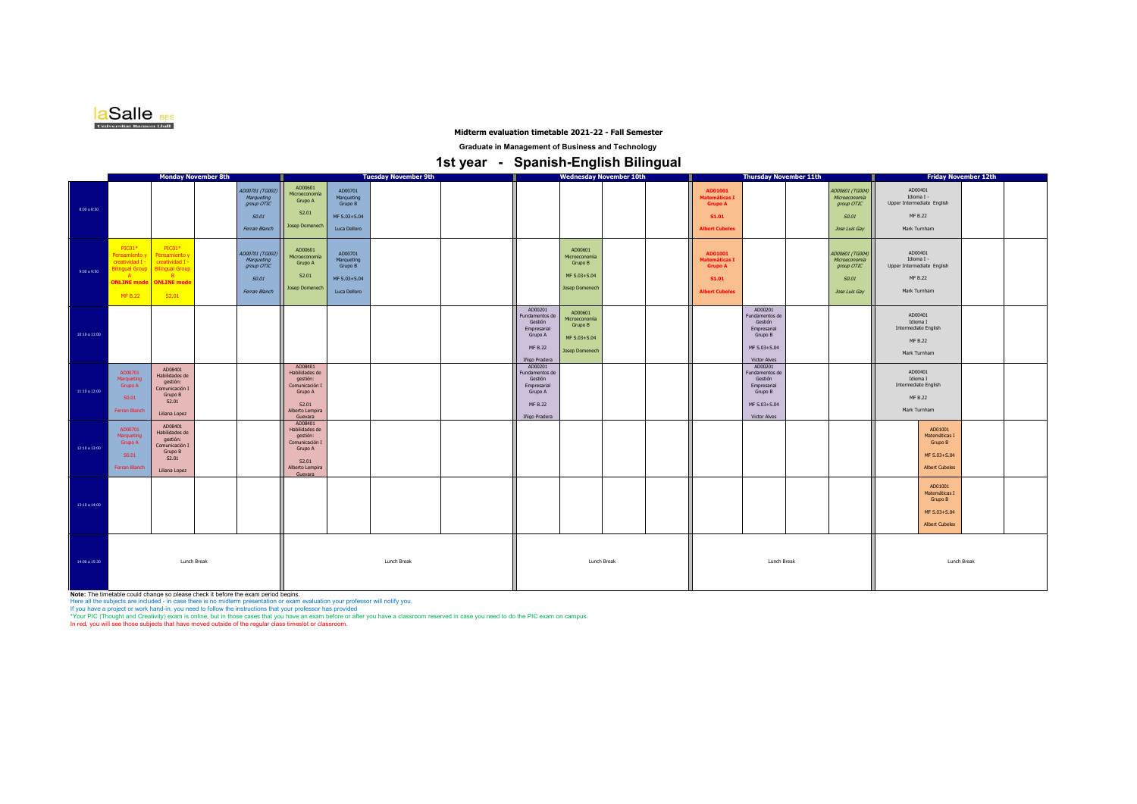

#### **Midterm evaluation timetable 2021-22 - Fall Semester**

**Graduate in Management of Business and Technology**

# **1st year - Spanish-English Bilingual**

|               |                                                                                             |                                                                                                                              | <b>Monday November 8th</b> |                                                                       |                                                                                                                       |                                                                  | <b>Tuesday November 9th</b> |  |                                                                                            |                                                                              | <b>Wednesday November 10th</b> |  |                                                                                            | <b>Thursday November 11th</b>                                                                         |  |                                                                                 |                                                                                       | <b>Friday November 12th</b> |  |
|---------------|---------------------------------------------------------------------------------------------|------------------------------------------------------------------------------------------------------------------------------|----------------------------|-----------------------------------------------------------------------|-----------------------------------------------------------------------------------------------------------------------|------------------------------------------------------------------|-----------------------------|--|--------------------------------------------------------------------------------------------|------------------------------------------------------------------------------|--------------------------------|--|--------------------------------------------------------------------------------------------|-------------------------------------------------------------------------------------------------------|--|---------------------------------------------------------------------------------|---------------------------------------------------------------------------------------|-----------------------------|--|
| 8:00 a 8:50   |                                                                                             |                                                                                                                              |                            | AD00701 (TG002)<br>Marqueting<br>group OTIC<br>S0.01<br>Ferran Blanch | AD00601<br>Microeconomía<br>Grupo A<br>S2.01<br><b>Josep Domenech</b>                                                 | AD00701<br>Marqueting<br>Grupo B<br>MF S.03+S.04<br>Luca Delloro |                             |  |                                                                                            |                                                                              |                                |  | AD01001<br>Matemáticas I<br><b>Grupo A</b><br>S1.01<br><b>Albert Cubeles</b>               |                                                                                                       |  | AD00601 (TG004)<br>Microeconomía<br>group OTIC<br><b>S0.01</b><br>Jose Luis Gay | AD00401<br>Idioma I -<br>Upper Intermediate English<br><b>MF B.22</b><br>Mark Turnham |                             |  |
| 9:00 a 9:50   | PIC01*<br>Pensamiento y<br>creatividad I -<br><b>Silingual Group</b><br>A<br><b>MF B.22</b> | $PIC01*$<br>Pensamiento y<br>creatividad I -<br><b>Bilingual Group</b><br>B <sub>1</sub><br>ONLINE mode ONLINE mode<br>S2.01 |                            | AD00701 (TG002)<br>Marqueting<br>group OTIC<br>S0.01<br>Ferran Blanch | AD00601<br>Microeconomía<br>Grupo A<br>S2.01<br><b>Josep Domenech</b>                                                 | AD00701<br>Marqueting<br>Grupo B<br>MF S.03+S.04<br>Luca Delloro |                             |  |                                                                                            | AD00601<br>Microeconomía<br>Grupo B<br>MF S.03+S.04<br><b>Josep Domenech</b> |                                |  | AD01001<br><b>Aatemáticas I</b><br><b>Grupo A</b><br><b>S1.01</b><br><b>Albert Cubeles</b> |                                                                                                       |  | AD00601 (TG004)<br>Microeconomía<br>group OTIC<br><b>S0.01</b><br>Jose Luis Gay | AD00401<br>Idioma I -<br>Upper Intermediate English<br><b>MF B.22</b><br>Mark Turnham |                             |  |
| 10:10 a 11:00 |                                                                                             |                                                                                                                              |                            |                                                                       |                                                                                                                       |                                                                  |                             |  | AD00201<br>Fundamentos de<br>Gestión<br>Empresarial<br>Grupo A<br>MF B.22<br>Iñigo Pradera | AD00601<br>Microeconomía<br>Grupo B<br>MF S.03+S.04<br>Josep Domenech        |                                |  |                                                                                            | AD00201<br>Fundamentos de<br>Gestión<br>Empresarial<br>Grupo B<br>MF S.03+S.04<br><b>Victor Alves</b> |  |                                                                                 | AD00401<br>Idioma I<br>Intermediate English<br><b>MF B.22</b><br>Mark Turnham         |                             |  |
| 11:10 a 12:00 | AD00701<br>Marqueting<br>Grupo A<br>S0.01<br>Ferran Blanch                                  | AD08401<br>Habilidades de<br>gestión:<br>Comunicación I<br>Grupo B<br>S2.01<br>Liliana Lopez                                 |                            |                                                                       | AD08401<br>Habilidades de<br>gestión:<br>Comunicación I<br>Grupo A<br>S <sub>2.01</sub><br>Alberto Lempira<br>Guevara |                                                                  |                             |  | AD00201<br>Fundamentos de<br>Gestión<br>Empresarial<br>Grupo A<br>MF B.22<br>Iñigo Pradera |                                                                              |                                |  |                                                                                            | AD00201<br>Fundamentos de<br>Gestión<br>Empresarial<br>Grupo B<br>MF S.03+S.04<br><b>Victor Alves</b> |  |                                                                                 | AD00401<br>Idioma I<br>Intermediate English<br>MF B.22<br>Mark Turnham                |                             |  |
| 12:10 a 13:00 | AD00701<br>Marqueting<br>Grupo A<br>S0.01<br>Ferran Blanch                                  | AD08401<br>Habilidades de<br>qestión:<br>Comunicación I<br>Grupo B<br>S2.01<br>Liliana Lopez                                 |                            |                                                                       | AD08401<br>Habilidades de<br>gestión:<br>Comunicación I<br>Grupo A<br>S2.01<br>Alberto Lempira<br>Guevara             |                                                                  |                             |  |                                                                                            |                                                                              |                                |  |                                                                                            |                                                                                                       |  |                                                                                 | AD01001<br>Matemáticas i<br>Grupo B<br>MF S.03+S.04<br><b>Albert Cubeles</b>          |                             |  |
| 13:10 a 14:00 |                                                                                             |                                                                                                                              |                            |                                                                       |                                                                                                                       |                                                                  |                             |  |                                                                                            |                                                                              |                                |  |                                                                                            |                                                                                                       |  |                                                                                 | AD01001<br>Matemáticas i<br>Grupo B<br>MF S.03+S.04<br><b>Albert Cubeles</b>          |                             |  |
| 14:00 a 15:30 | Lunch Break                                                                                 |                                                                                                                              |                            | Lunch Break                                                           |                                                                                                                       |                                                                  | Lunch Break                 |  |                                                                                            | Lunch Break                                                                  |                                |  |                                                                                            | Lunch Break                                                                                           |  |                                                                                 |                                                                                       |                             |  |

**Note: The timetable could change so please check it before the exam period begins.**<br>Here all the subjects are included - in case there is no midterm presentation or exam evaluation your professor will notify you.<br>If you h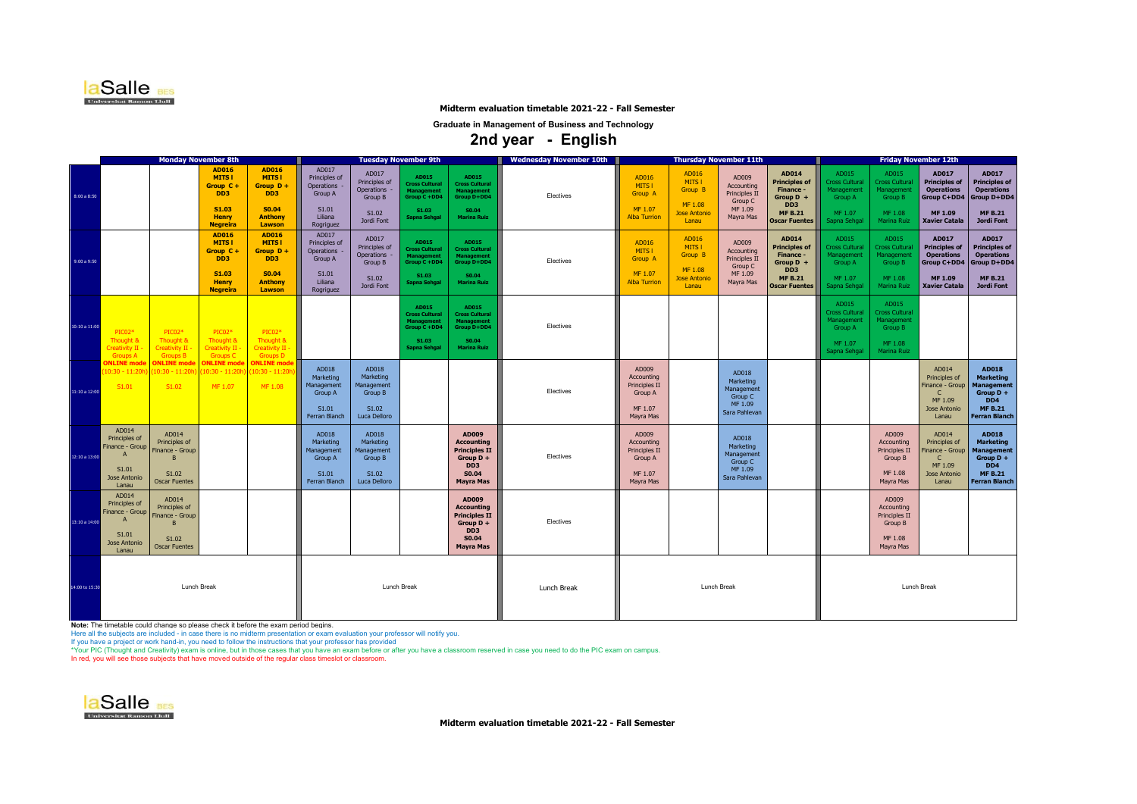

**Midterm evaluation timetable 2021-22 - Fall Semester**

**Graduate in Management of Business and Technology**

 **2nd year - English** 

|                   | <b>Monday November 8th</b>                                                                                                                                                     |                                                                                                         | <b>Tuesday November 9th</b>                                                                                |                                                                                         |                                                                        |                                                                                                            | Wednesday November 10th                                                                                                                   | <b>Thursday November 11th</b> |                                                                         |                                                                       |                                                                                | <b>Friday November 12th</b>                                                                                |                                                                                           |                                                                                   |                                                                                                             |                                                                                                                            |
|-------------------|--------------------------------------------------------------------------------------------------------------------------------------------------------------------------------|---------------------------------------------------------------------------------------------------------|------------------------------------------------------------------------------------------------------------|-----------------------------------------------------------------------------------------|------------------------------------------------------------------------|------------------------------------------------------------------------------------------------------------|-------------------------------------------------------------------------------------------------------------------------------------------|-------------------------------|-------------------------------------------------------------------------|-----------------------------------------------------------------------|--------------------------------------------------------------------------------|------------------------------------------------------------------------------------------------------------|-------------------------------------------------------------------------------------------|-----------------------------------------------------------------------------------|-------------------------------------------------------------------------------------------------------------|----------------------------------------------------------------------------------------------------------------------------|
| 8:00 a 8:50       |                                                                                                                                                                                | <b>AD016</b><br><b>MITS1</b><br>Group C+<br>DD <sub>3</sub><br>S1.03<br><b>Henry</b><br><b>Negreira</b> | <b>AD016</b><br><b>MITS1</b><br>Group $D +$<br>DD <sub>3</sub><br>S0.04<br><b>Anthony</b><br>Lawson        | AD017<br>Principles of<br><b>Operations</b><br>Group A<br>S1.01<br>Liliana<br>Rogriguez | AD017<br>Principles of<br>Operations<br>Group B<br>S1.02<br>Jordi Font | <b>AD015</b><br><b>Cross Cultural</b><br><b>Management</b><br>Group C +DD4<br>S1.03<br><b>Sapna Sehgal</b> | <b>AD015</b><br><b>Cross Cultural</b><br><b>Management</b><br>Group D+DD4<br>S0.04<br><b>Marina Ruiz</b>                                  | Electives                     | AD016<br>MITS I<br>Group A<br>MF 1.07<br><b>Alba Turrion</b>            | AD016<br>MITS I<br>Group B<br>MF 1.08<br><b>Jose Antonio</b><br>Lanau | AD009<br><b>Accounting</b><br>Principles II<br>Group C<br>MF 1.09<br>Mayra Mas | AD014<br><b>Principles of</b><br>Finance -<br>Group $D +$<br>DD3<br><b>MF B.21</b><br><b>Oscar Fuentes</b> | AD015<br><b>Cross Cultural</b><br>Management<br><b>Group A</b><br>MF 1.07<br>Sapna Sehgal | AD015<br><b>Cross Cultural</b><br>Management<br>Group B<br>MF 1.08<br>Marina Ruiz | AD017<br><b>Principles of</b><br><b>Operations</b><br>Group C+DD4<br><b>MF 1.09</b><br><b>Xavier Catala</b> | <b>AD017</b><br><b>Principles of</b><br><b>Operations</b><br><b>Group D+DD4</b><br><b>MF B.21</b><br><b>Jordi Font</b>     |
| 9:00a9:50         |                                                                                                                                                                                | <b>AD016</b><br><b>MITS1</b><br>Group C+<br>DD <sub>3</sub><br>S1.03<br><b>Henry</b><br><b>Negreira</b> | <b>AD016</b><br><b>MITS1</b><br>Group $D +$<br>DD <sub>3</sub><br><b>S0.04</b><br><b>Anthony</b><br>Lawson | AD017<br>Principles of<br>Operations -<br>Group A<br>S1.01<br>Liliana<br>Rogriguez      | AD017<br>Principles of<br>Operations<br>Group B<br>S1.02<br>Jordi Font | AD015<br><b>Cross Cultural</b><br><b>Management</b><br>Group C +DD4<br>S1.03<br><b>Sapna Sehgal</b>        | <b>AD015</b><br><b>Cross Cultural</b><br><b>Management</b><br>Group D+DD4<br>S0.04<br><b>Marina Ruiz</b>                                  | Electives                     | AD016<br>MITS I<br>Group A<br>MF 1.07<br><b>Alba Turrion</b>            | AD016<br>MITS I<br>Group B<br>MF 1.08<br><b>Jose Antonio</b><br>Lanau | AD009<br>Accounting<br>Principles II<br>Group C<br>MF 1.09<br>Mayra Mas        | AD014<br><b>Principles of</b><br>Finance -<br>Group $D +$<br>DD3<br><b>MF B.21</b><br><b>Oscar Fuentes</b> | AD015<br><b>Cross Cultural</b><br>Management<br>Group A<br>MF 1.07<br>Sapna Sehgal        | AD015<br><b>Cross Cultura</b><br>Management<br>Group B<br>MF 1.08<br>Marina Ruiz  | <b>AD017</b><br><b>Principles of</b><br><b>Operations</b><br>Group C+DD4<br>MF 1.09<br><b>Xavier Catala</b> | <b>AD017</b><br><b>Principles of</b><br><b>Operations</b><br><b>Group D+DD4</b><br><b>MF B.21</b><br>Jordi Font            |
| 10:10 a 11:00     | $PICO2*$<br>PIC02*<br>Thought &<br>Thought &<br><b>Creativity II</b><br>Creativity II<br><b>Groups B</b><br><b>Groups A</b>                                                    | PIC02*<br>Thought &<br>Creativity II -<br><b>Groups C</b>                                               | PIC02*<br>Thought &<br>Creativity II -<br><b>Groups D</b>                                                  |                                                                                         |                                                                        | <b>AD015</b><br><b>Cross Cultural</b><br><b>Management</b><br>Group C +DD4<br>S1.03<br><b>Sapna Sehgal</b> | AD015<br><b>Cross Cultural</b><br><b>Management</b><br>Group D+DD4<br>S0.04<br><b>Marina Ruiz</b>                                         | Electives                     |                                                                         |                                                                       |                                                                                |                                                                                                            | AD015<br><b>Cross Cultural</b><br>Management<br>Group A<br>MF 1.07<br>Sapna Sehgal        | AD015<br>Cross Cultura<br>Management<br>Group B<br>MF 1.08<br>Marina Ruiz         |                                                                                                             |                                                                                                                            |
| $11:10$ a $12:00$ | <b>ONLINE</b> mode<br><b>ONLINE</b> mode<br>10:30 - 11:20}<br>10:30 - 11:20h<br>S1.02<br>S1.01                                                                                 | <b>ONLINE</b> mode<br>10:30 - 11:20h)<br>MF 1.07                                                        | <b>ONLINE</b> mode<br>10:30 - 11:20h<br>MF 1.08                                                            | AD018<br>Marketing<br>Management<br><b>Group A</b><br>S1.01<br>Ferran Blanch            | AD018<br>Marketing<br>Management<br>Group B<br>S1.02<br>Luca Delloro   |                                                                                                            |                                                                                                                                           | Electives                     | AD009<br>Accounting<br>Principles II<br>Group A<br>MF 1.07<br>Mayra Mas |                                                                       | AD018<br>Marketing<br>Management<br>Group C<br>MF 1.09<br>Sara Pahlevan        |                                                                                                            |                                                                                           |                                                                                   | AD014<br>Principles of<br>Finance - Group<br>$\mathsf{C}$<br>MF 1.09<br>Jose Antonio<br>Lanau               | <b>AD018</b><br>Marketing<br><b>Management</b><br>Group $D +$<br>DD <sub>4</sub><br><b>MF B.21</b><br><b>Ferran Blanch</b> |
| 12:10 a 13:00     | AD014<br>AD014<br>Principles of<br>Principles of<br>Finance - Group<br>Finance - Group<br>$\mathbf{A}$<br>B<br>S1.01<br>S1.02<br>Jose Antonio<br><b>Oscar Fuentes</b><br>Lanau |                                                                                                         |                                                                                                            | AD018<br>Marketing<br>Management<br>Group A<br>S1.01<br>Ferran Blanch                   | AD018<br>Marketing<br>Management<br>Group B<br>S1.02<br>Luca Delloro   |                                                                                                            | AD009<br><b>Accounting</b><br><b>Principles II</b><br>Group $D +$<br>DD <sub>3</sub><br>S0.04<br><b>Mayra Mas</b>                         | Electives                     | AD009<br>Accounting<br>Principles II<br>Group A<br>MF 1.07<br>Mayra Mas |                                                                       | AD018<br>Marketing<br>Management<br>Group C<br>MF 1.09<br>Sara Pahlevan        |                                                                                                            |                                                                                           | AD009<br>Accounting<br>Principles II<br>Group B<br>MF 1.08<br>Mayra Mas           | AD014<br>Principles of<br>inance - Group<br>C.<br>MF 1.09<br><b>Jose Antonio</b><br>Lanau                   | <b>AD018</b><br>Marketing<br><b>Management</b><br>Group $D +$<br>DD <sub>4</sub><br><b>MF B.21</b><br><b>Ferran Blanch</b> |
| 13:10 a 14:00     | AD014<br>AD014<br>Principles of<br>Principles of<br>Finance - Group<br>Finance - Group<br>$\mathsf{A}$<br>B<br>S1.01<br>S1.02<br>Jose Antonio<br><b>Oscar Fuentes</b><br>Lanau |                                                                                                         |                                                                                                            |                                                                                         |                                                                        |                                                                                                            | AD009<br><b>Accounting</b><br><b>Principles II</b><br>Group $D +$<br>D <sub>D</sub> <sub>3</sub><br>S <sub>0.04</sub><br><b>Mayra Mas</b> | Electives                     |                                                                         |                                                                       |                                                                                |                                                                                                            |                                                                                           | AD009<br>Accounting<br>Principles II<br>Group B<br>MF 1.08<br>Mayra Mas           |                                                                                                             |                                                                                                                            |
| 14:00 to 15:30    | Lunch Break                                                                                                                                                                    |                                                                                                         |                                                                                                            |                                                                                         | Lunch Break                                                            |                                                                                                            |                                                                                                                                           | Lunch Break                   | <b>Lunch Break</b>                                                      |                                                                       |                                                                                |                                                                                                            | Lunch Break                                                                               |                                                                                   |                                                                                                             |                                                                                                                            |

**Note: Th**e timetable could change so please check it before the exam period begins.<br>Here all the subjects are included - in case there is no midterm presentation or exam evaluation your professor will notify you.<br>If you h

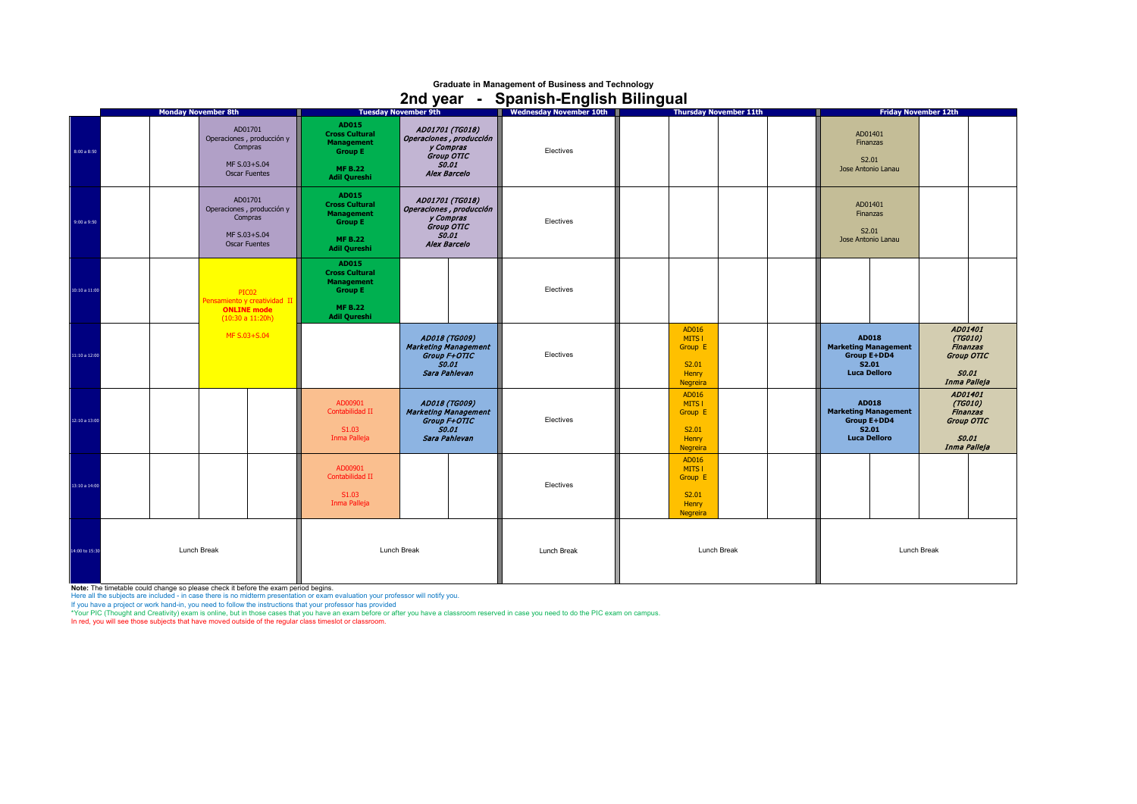## **Graduate in Management of Business and Technology 2nd year - Spanish-English Bilingual**

|                | <b>Monday November 8th</b>                                                              | <b>Tuesday November 9th</b>                                                                                    |                                                                                                              | Wednesday November 10th | <b>Thursday November 11th</b>                                   |  | <b>Friday November 12th</b>                                                                       |  |                                                                  |                               |  |
|----------------|-----------------------------------------------------------------------------------------|----------------------------------------------------------------------------------------------------------------|--------------------------------------------------------------------------------------------------------------|-------------------------|-----------------------------------------------------------------|--|---------------------------------------------------------------------------------------------------|--|------------------------------------------------------------------|-------------------------------|--|
| 8:00 a 8:50    | AD01701<br>Operaciones, producción y<br>Compras<br>MF S.03+S.04<br><b>Oscar Fuentes</b> | AD015<br><b>Cross Cultural</b><br><b>Management</b><br><b>Group E</b><br><b>MF B.22</b><br><b>Adil Qureshi</b> | AD01701 (TG018)<br>Operaciones, producción<br>y Compras<br>Group OTIC<br><b>SO.01</b><br><b>Alex Barcelo</b> | Electives               |                                                                 |  | AD01401<br>Finanzas<br>S2.01<br>Jose Antonio Lanau                                                |  |                                                                  |                               |  |
| 9:00 a 9:50    | AD01701<br>Operaciones, producción y<br>Compras<br>MF S.03+S.04<br><b>Oscar Fuentes</b> | AD015<br><b>Cross Cultural</b><br><b>Management</b><br><b>Group E</b><br><b>MF B.22</b><br><b>Adil Qureshi</b> | AD01701 (TG018)<br>Operaciones, producción<br>y Compras<br>Group OTIC<br><b>S0.01</b><br><b>Alex Barcelo</b> | Electives               |                                                                 |  | AD01401<br>Finanzas<br>S2.01<br>Jose Antonio Lanau                                                |  |                                                                  |                               |  |
| 10:10 a 11:00  | PIC02<br>Pensamiento y creatividad II<br><b>ONLINE</b> mode<br>(10:30 a 11:20h)         | AD015<br><b>Cross Cultural</b><br><b>Management</b><br><b>Group E</b><br><b>MF B.22</b><br><b>Adil Qureshi</b> |                                                                                                              | Electives               |                                                                 |  |                                                                                                   |  |                                                                  |                               |  |
| 11:10 a 12:00  | MF S.03+S.04                                                                            |                                                                                                                | AD018 (TG009)<br><b>Marketing Management</b><br>Group F+OTIC<br><b>S0.01</b><br>Sara Pahlevan                | Electives               | AD016<br>MITS I<br>Group E<br>S2.01<br>Henry<br>Negreira        |  | <b>AD018</b><br><b>Marketing Management</b><br><b>Group E+DD4</b><br>S2.01<br><b>Luca Delloro</b> |  | AD01401<br>(TG010)<br>Group OTIC<br><b>SO.01</b><br>Inma Palleja | <b>Finanzas</b>               |  |
| 12:10a 13:00   |                                                                                         | AD00901<br>Contabilidad II<br>S1.03<br>Inma Palleja                                                            | AD018 (TG009)<br><b>Marketing Management</b><br>Group F+OTIC<br><b>S0.01</b><br>Sara Pahlevan                | Electives               | AD016<br>MITS I<br>Group E<br>S2.01<br>Henry<br>Negreira        |  | <b>AD018</b><br><b>Marketing Management</b><br>Group E+DD4<br>S2.01<br><b>Luca Delloro</b>        |  | AD01401<br>(TG010)<br><b>SO.01</b><br>Inma Palleja               | <b>Finanzas</b><br>Group OTIC |  |
| 13:10 a 14:00  |                                                                                         | AD00901<br>Contabilidad II<br>S1.03<br>Inma Palleja                                                            |                                                                                                              | Electives               | AD016<br>MITS I<br>Group E<br>S2.01<br>Henry<br><b>Negreira</b> |  |                                                                                                   |  |                                                                  |                               |  |
| 14:00 to 15:30 | Lunch Break                                                                             | Lunch Break                                                                                                    |                                                                                                              | Lunch Break             | Lunch Break<br><b>Lunch Break</b>                               |  |                                                                                                   |  |                                                                  |                               |  |

**Note:** The timetable could change so please check it before the exam period begins.<br>Here all the subjects are included - in case there is no midterm presentation ror exam evaluation your professor will notify you.<br>If you

In red, you will see those subjects that have moved outside of the regular class timeslot or classroom.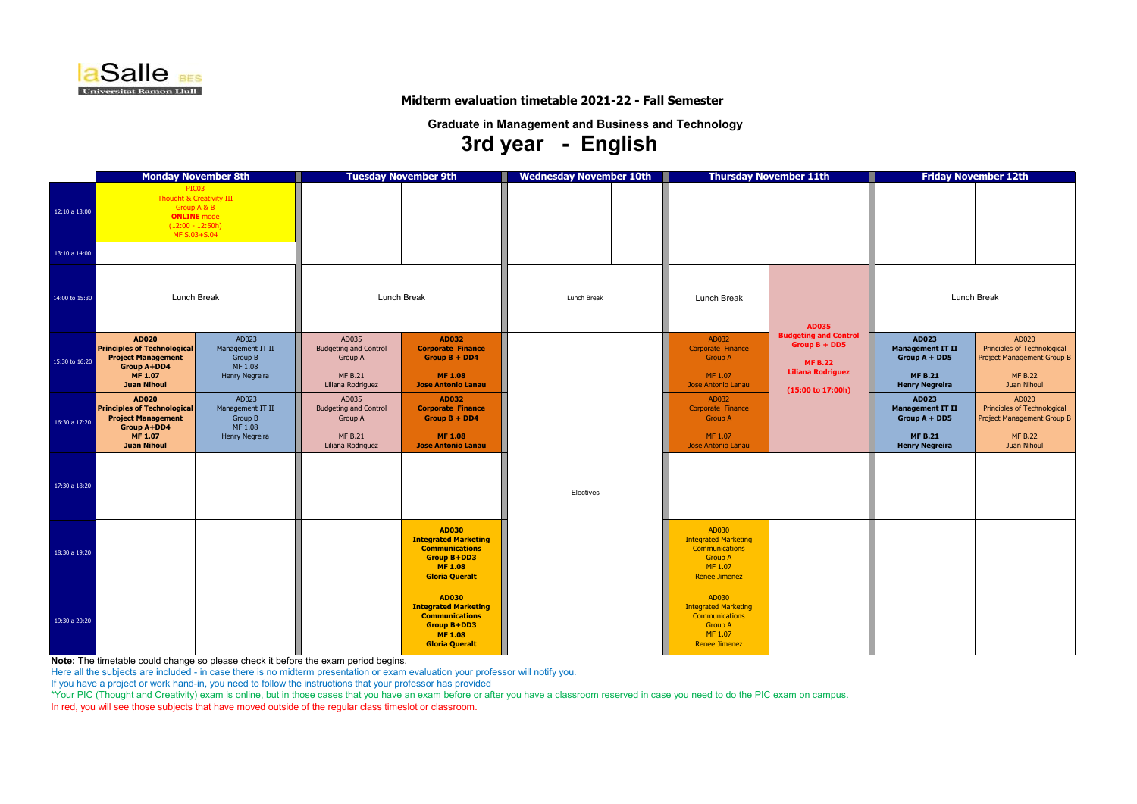|                | <b>Monday November 8th</b>                                                                                                                    |                                                                   |                                                                                         | <b>Tuesday November 9th</b>                                                                                                           | <b>Wednesday November 10th</b> |                                                                                                                    | <b>Thursday November 11th</b>                                                                                      | <b>Friday November 12th</b>                                                                           |                                                                                                            |  |  |
|----------------|-----------------------------------------------------------------------------------------------------------------------------------------------|-------------------------------------------------------------------|-----------------------------------------------------------------------------------------|---------------------------------------------------------------------------------------------------------------------------------------|--------------------------------|--------------------------------------------------------------------------------------------------------------------|--------------------------------------------------------------------------------------------------------------------|-------------------------------------------------------------------------------------------------------|------------------------------------------------------------------------------------------------------------|--|--|
| 12:10 a 13:00  | PIC03<br>Thought & Creativity III<br>Group A & B<br><b>ONLINE</b> mode<br>$(12:00 - 12:50h)$<br>MF S.03+S.04                                  |                                                                   |                                                                                         |                                                                                                                                       |                                |                                                                                                                    |                                                                                                                    |                                                                                                       |                                                                                                            |  |  |
| 13:10 a 14:00  |                                                                                                                                               |                                                                   |                                                                                         |                                                                                                                                       |                                |                                                                                                                    |                                                                                                                    |                                                                                                       |                                                                                                            |  |  |
| 14:00 to 15:30 | <b>Lunch Break</b>                                                                                                                            |                                                                   | <b>Lunch Break</b>                                                                      |                                                                                                                                       | Lunch Break                    | <b>Lunch Break</b>                                                                                                 | <b>AD035</b>                                                                                                       | <b>Lunch Break</b>                                                                                    |                                                                                                            |  |  |
| 15:30 to 16:20 | <b>AD020</b><br><b>Principles of Technological</b><br><b>Project Management</b><br><b>Group A+DD4</b><br><b>MF 1.07</b><br><b>Juan Nihoul</b> | AD023<br>Management IT II<br>Group B<br>MF 1.08<br>Henry Negreira | AD035<br><b>Budgeting and Control</b><br>Group A<br><b>MF B.21</b><br>Liliana Rodriguez | <b>AD032</b><br><b>Corporate Finance</b><br>$Group B + DD4$<br><b>MF 1.08</b><br><b>Jose Antonio Lanau</b>                            |                                | AD032<br>Corporate Finance<br><b>Group A</b><br>MF 1.07<br>Jose Antonio Lanau                                      | <b>Budgeting and Control</b><br>$Group B + DDS$<br><b>MF B.22</b><br><b>Liliana Rodriguez</b><br>(15:00 to 17:00h) | <b>AD023</b><br><b>Management IT II</b><br>Group $A + DDS$<br><b>MF B.21</b><br><b>Henry Negreira</b> | AD020<br>Principles of Technological<br><b>Project Management Group B</b><br><b>MF B.22</b><br>Juan Nihoul |  |  |
| 16:30 a 17:20  | <b>AD020</b><br><b>Principles of Technological</b><br><b>Project Management</b><br><b>Group A+DD4</b><br><b>MF 1.07</b><br><b>Juan Nihoul</b> | AD023<br>Management IT II<br>Group B<br>MF 1.08<br>Henry Negreira | AD035<br><b>Budgeting and Control</b><br>Group A<br><b>MF B.21</b><br>Liliana Rodriguez | <b>AD032</b><br><b>Corporate Finance</b><br>Group $B + DD4$<br><b>MF 1.08</b><br><b>Jose Antonio Lanau</b>                            |                                | AD032<br>Corporate Finance<br><b>Group A</b><br>MF 1.07<br>Jose Antonio Lanau                                      |                                                                                                                    | AD023<br><b>Management IT II</b><br>Group A + DD5<br><b>MF B.21</b><br><b>Henry Negreira</b>          | AD020<br>Principles of Technological<br>Project Management Group B<br><b>MF B.22</b><br>Juan Nihoul        |  |  |
| 17:30 a 18:20  |                                                                                                                                               |                                                                   |                                                                                         |                                                                                                                                       | Electives                      |                                                                                                                    |                                                                                                                    |                                                                                                       |                                                                                                            |  |  |
| 18:30 a 19:20  |                                                                                                                                               |                                                                   |                                                                                         | <b>AD030</b><br><b>Integrated Marketing</b><br><b>Communications</b><br><b>Group B+DD3</b><br><b>MF 1.08</b><br><b>Gloria Queralt</b> |                                | AD030<br><b>Integrated Marketing</b><br><b>Communications</b><br><b>Group A</b><br>MF 1.07<br><b>Renee Jimenez</b> |                                                                                                                    |                                                                                                       |                                                                                                            |  |  |
| 19:30 a 20:20  |                                                                                                                                               |                                                                   |                                                                                         | <b>AD030</b><br><b>Integrated Marketing</b><br><b>Communications</b><br><b>Group B+DD3</b><br><b>MF 1.08</b><br><b>Gloria Queralt</b> |                                | AD030<br><b>Integrated Marketing</b><br><b>Communications</b><br><b>Group A</b><br>MF 1.07<br><b>Renee Jimenez</b> |                                                                                                                    |                                                                                                       |                                                                                                            |  |  |

**Note:** The timetable could change so please check it before the exam period begins.

Here all the subjects are included - in case there is no midterm presentation or exam evaluation your professor will notify you.

If you have a project or work hand-in, you need to follow the instructions that your professor has provided

\*Your PIC (Thought and Creativity) exam is online, but in those cases that you have an exam before or after you have a classroom reserved in case you need to do the PIC exam on campus. In red, you will see those subjects that have moved outside of the regular class timeslot or classroom.



# **Midterm evaluation timetable 2021-22 - Fall Semester**

**Graduate in Management and Business and Technology**

# **3rd year - English**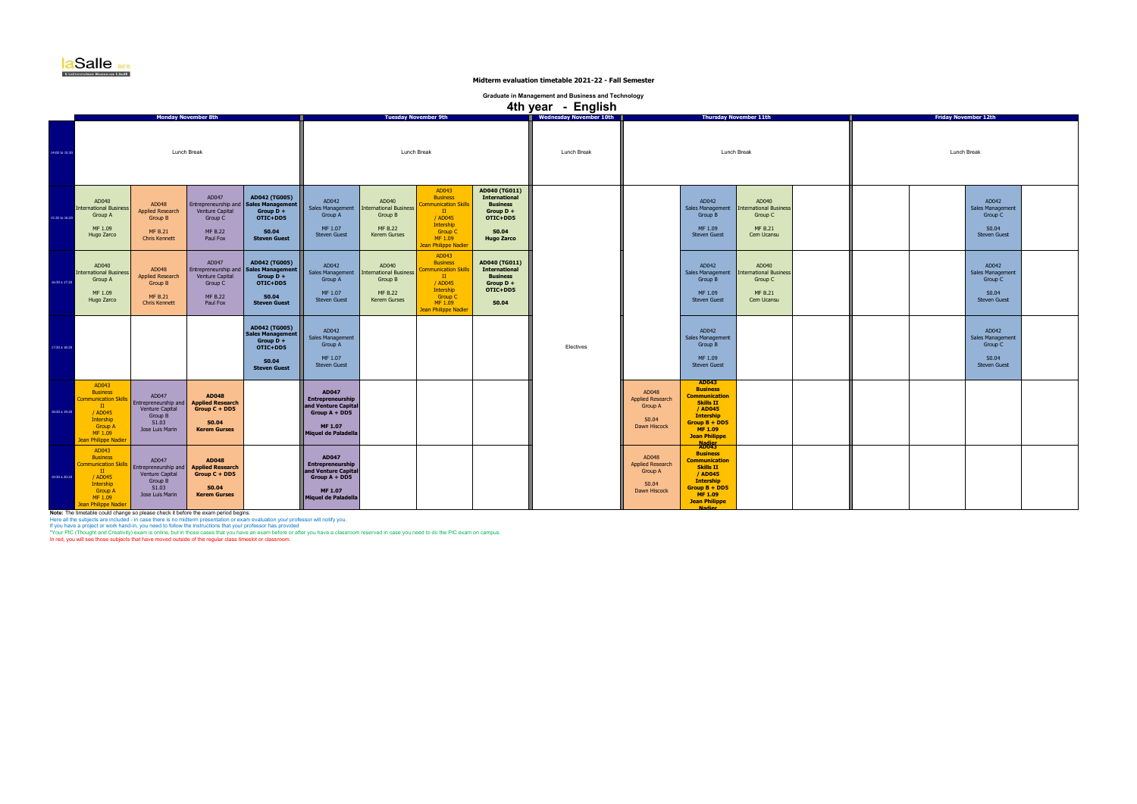| <b>Friday November 12th</b> |  |                                                                           |  |  |  |  |  |  |  |  |
|-----------------------------|--|---------------------------------------------------------------------------|--|--|--|--|--|--|--|--|
| Lunch Break                 |  |                                                                           |  |  |  |  |  |  |  |  |
|                             |  | AD042<br>Sales Management<br>Group C<br>S <sub>0.04</sub><br>Steven Guest |  |  |  |  |  |  |  |  |
|                             |  | AD042<br>Sales Management<br>Group C<br>S <sub>0.04</sub><br>Steven Guest |  |  |  |  |  |  |  |  |
|                             |  | AD042<br>Sales Management<br>Group C<br>S0.04<br>Steven Guest             |  |  |  |  |  |  |  |  |
|                             |  |                                                                           |  |  |  |  |  |  |  |  |
|                             |  |                                                                           |  |  |  |  |  |  |  |  |

|                |                                                                                                                                                      |                                                                                              |                                                                                                   |                                                                                                                            |                                                                                                                     |                                                                                     |                                                                                                                                                     |                                                                                                                          | 4th year - English |                                                                      |                                                                                                                                                                                     |                                                                                               |  |                             |                                                       |
|----------------|------------------------------------------------------------------------------------------------------------------------------------------------------|----------------------------------------------------------------------------------------------|---------------------------------------------------------------------------------------------------|----------------------------------------------------------------------------------------------------------------------------|---------------------------------------------------------------------------------------------------------------------|-------------------------------------------------------------------------------------|-----------------------------------------------------------------------------------------------------------------------------------------------------|--------------------------------------------------------------------------------------------------------------------------|--------------------|----------------------------------------------------------------------|-------------------------------------------------------------------------------------------------------------------------------------------------------------------------------------|-----------------------------------------------------------------------------------------------|--|-----------------------------|-------------------------------------------------------|
|                |                                                                                                                                                      |                                                                                              | <b>Monday November 8th</b>                                                                        |                                                                                                                            |                                                                                                                     |                                                                                     | <b>Tuesday November 9th</b>                                                                                                                         |                                                                                                                          |                    |                                                                      |                                                                                                                                                                                     | <b>Thursday November 11th</b>                                                                 |  | <b>Friday November 12th</b> |                                                       |
| 14:00 to 15:30 |                                                                                                                                                      | Lunch Break                                                                                  |                                                                                                   |                                                                                                                            |                                                                                                                     | Lunch Break                                                                         |                                                                                                                                                     |                                                                                                                          |                    |                                                                      | Lunch Break                                                                                                                                                                         | Lunch Break                                                                                   |  |                             |                                                       |
| 15:30 to 16:20 | AD040<br><b>International Business</b><br>Group A<br>MF 1.09<br>Hugo Zarco                                                                           | AD048<br><b>Applied Research</b><br>Group B<br><b>MF B.21</b><br><b>Chris Kennett</b>        | AD047<br>Venture Capital<br>Group C<br><b>MF B.22</b><br>Paul Fox                                 | AD042 (TG005)<br>Entrepreneurship and   Sales Management<br>Group $D +$<br>OTIC+DD5<br><b>S0.04</b><br><b>Steven Guest</b> | AD042<br>Sales Management<br>Group A<br>MF 1.07<br><b>Steven Guest</b>                                              | AD040<br><b>International Business</b><br>Group B<br><b>MF B.22</b><br>Kerem Gurses | AD043<br><b>Business</b><br>mmunication Skills<br>$\scriptstyle\rm II$<br>/ AD045<br>Intership<br>Group C<br>MF 1.09<br><b>Jean Philippe Nadier</b> | AD040 (TG011)<br><b>International</b><br><b>Business</b><br>Group $D +$<br>OTIC+DD5<br><b>S0.04</b><br><b>Hugo Zarco</b> |                    |                                                                      | AD042<br>Group B<br>MF 1.09<br><b>Steven Guest</b>                                                                                                                                  | AD040<br>Sales Management   International Business<br>Group C<br><b>MF B.21</b><br>Cem Ucansu |  | Sales Man                   | AD <sub>C</sub><br>Grou<br>S <sub>0</sub> .<br>Steven |
| 16:30 a 17:20  | AD040<br><b>International Business</b><br>Group A<br>MF 1.09<br>Hugo Zarco                                                                           | AD048<br><b>Applied Research</b><br><b>Group B</b><br><b>MF B.21</b><br><b>Chris Kennett</b> | AD047<br>Venture Capital<br>Group C<br><b>MF B.22</b><br>Paul Fox                                 | AD042 (TG005)<br>Entrepreneurship and   Sales Management<br>Group $D +$<br>OTIC+DD5<br><b>S0.04</b><br><b>Steven Guest</b> | AD042<br>Sales Management<br>Group A<br>MF 1.07<br><b>Steven Guest</b>                                              | AD040<br><b>International Business</b><br>Group B<br><b>MF B.22</b><br>Kerem Gurses | AD043<br><b>Business</b><br><b>Immunication Skills</b><br>$\mathbf{H}$<br>/ AD045<br>Intership<br>Group C<br>MF 1.09<br>Jean Philippe Nadier        | AD040 (TG011)<br><b>International</b><br><b>Business</b><br>Group $D +$<br>OTIC+DD5<br><b>S0.04</b>                      |                    |                                                                      | AD042<br>Sales Management<br>Group B<br>MF 1.09<br><b>Steven Guest</b>                                                                                                              | AD040<br>International Business<br>Group C<br><b>MF B.21</b><br>Cem Ucansu                    |  | Sales Man                   | AD <sub>C</sub><br>Grou<br>S <sub>0</sub><br>Steven   |
| 17:30 a 18:20  |                                                                                                                                                      |                                                                                              |                                                                                                   | AD042 (TG005)<br><b>Sales Management</b><br>Group $D +$<br>OTIC+DD5<br>S0.04<br><b>Steven Guest</b>                        | AD042<br><b>Sales Management</b><br>Group A<br>MF 1.07<br><b>Steven Guest</b>                                       |                                                                                     |                                                                                                                                                     |                                                                                                                          | Electives          |                                                                      | AD042<br><b>Sales Management</b><br>Group B<br>MF 1.09<br><b>Steven Guest</b>                                                                                                       |                                                                                               |  | Sales Man                   | AD <sub>C</sub><br>Grou<br>S <sub>0</sub> .<br>Steven |
| 18:30 a 19:20  | AD043<br><b>Business</b><br><b>Communication Skills</b><br>$\mathbf{H}$<br>/ AD045<br>Intership<br><b>Group A</b><br>MF 1.09<br>Jean Philippe Nadier | AD047<br>Entrepreneurship and<br>Venture Capital<br>Group B<br>S1.03<br>Jose Luis Marin      | <b>AD048</b><br><b>Applied Research</b><br>Group $C + DDS$<br><b>S0.04</b><br><b>Kerem Gurses</b> |                                                                                                                            | <b>AD047</b><br>Entrepreneurship<br>and Venture Capital<br>Group $A + DDS$<br>MF 1.07<br>Miquel de Paladella        |                                                                                     |                                                                                                                                                     |                                                                                                                          |                    | AD048<br><b>Applied Research</b><br>Group A<br>S0.04<br>Dawn Hiscock | <b>AD043</b><br><b>Business</b><br><b>Communication</b><br><b>Skills II</b><br>/ AD045<br><b>Intership</b><br>Group $B + DDS$<br>MF 1.09<br><b>Jean Philippe</b><br>Nadier<br>AD043 |                                                                                               |  |                             |                                                       |
| 19:30 a 20:20  | AD043<br><b>Business</b><br><b>Communication Skills</b><br>$\mathbf{H}$<br>/ AD045<br>Intership<br><b>Group A</b><br>MF 1.09<br>Jean Philippe Nadier | AD047<br>Entrepreneurship and<br>Venture Capital<br>Group B<br>S1.03<br>Jose Luis Marin      | <b>AD048</b><br><b>Applied Research</b><br>Group $C + DDS$<br><b>S0.04</b><br><b>Kerem Gurses</b> |                                                                                                                            | <b>AD047</b><br>Entrepreneurship<br>and Venture Capital<br>Group $A + DDS$<br><b>MF 1.07</b><br>Miquel de Paladella |                                                                                     |                                                                                                                                                     |                                                                                                                          |                    | AD048<br><b>Applied Research</b><br>Group A<br>S0.04<br>Dawn Hiscock | <b>Business</b><br><b>Communication</b><br><b>Skills II</b><br>/ AD045<br><b>Intership</b><br>Group $B + DDS$<br>MF 1.09<br><b>Jean Philippe</b><br><b>Nadier</b>                   |                                                                                               |  |                             |                                                       |

Note: The timetable could change so please check it before the exam period begins.<br>Here all the subjects are included - in case there is no midterm presentation or exam evaluation your professor will notify you.<br>If you hav



**Midterm evaluation timetable 2021-22 - Fall Semester**

**Graduate in Management and Business and Technology**